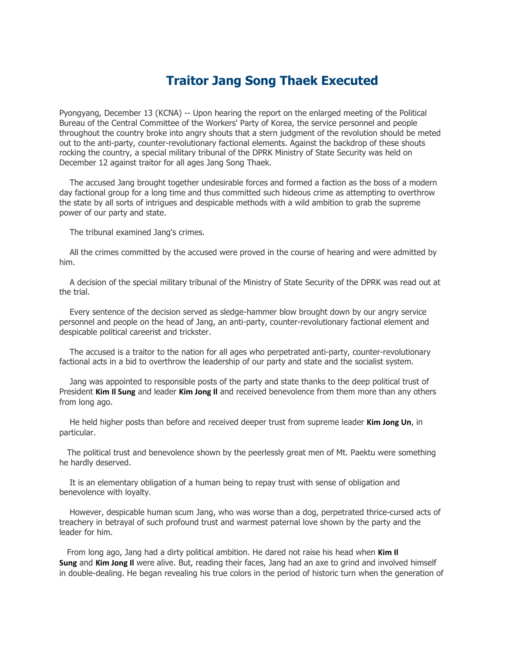## Traitor Jang Song Thaek Executed

Pyongyang, December 13 (KCNA) -- Upon hearing the report on the enlarged meeting of the Political Bureau of the Central Committee of the Workers' Party of Korea, the service personnel and people throughout the country broke into angry shouts that a stern judgment of the revolution should be meted out to the anti-party, counter-revolutionary factional elements. Against the backdrop of these shouts rocking the country, a special military tribunal of the DPRK Ministry of State Security was held on December 12 against traitor for all ages Jang Song Thaek.

 The accused Jang brought together undesirable forces and formed a faction as the boss of a modern day factional group for a long time and thus committed such hideous crime as attempting to overthrow the state by all sorts of intrigues and despicable methods with a wild ambition to grab the supreme power of our party and state.

The tribunal examined Jang's crimes.

 All the crimes committed by the accused were proved in the course of hearing and were admitted by him.

 A decision of the special military tribunal of the Ministry of State Security of the DPRK was read out at the trial.

 Every sentence of the decision served as sledge-hammer blow brought down by our angry service personnel and people on the head of Jang, an anti-party, counter-revolutionary factional element and despicable political careerist and trickster.

 The accused is a traitor to the nation for all ages who perpetrated anti-party, counter-revolutionary factional acts in a bid to overthrow the leadership of our party and state and the socialist system.

 Jang was appointed to responsible posts of the party and state thanks to the deep political trust of President Kim II Sung and leader Kim Jong II and received benevolence from them more than any others from long ago.

He held higher posts than before and received deeper trust from supreme leader Kim Jong Un, in particular.

 The political trust and benevolence shown by the peerlessly great men of Mt. Paektu were something he hardly deserved.

 It is an elementary obligation of a human being to repay trust with sense of obligation and benevolence with loyalty.

 However, despicable human scum Jang, who was worse than a dog, perpetrated thrice-cursed acts of treachery in betrayal of such profound trust and warmest paternal love shown by the party and the leader for him.

From long ago, Jang had a dirty political ambition. He dared not raise his head when Kim II Sung and Kim Jong II were alive. But, reading their faces, Jang had an axe to grind and involved himself in double-dealing. He began revealing his true colors in the period of historic turn when the generation of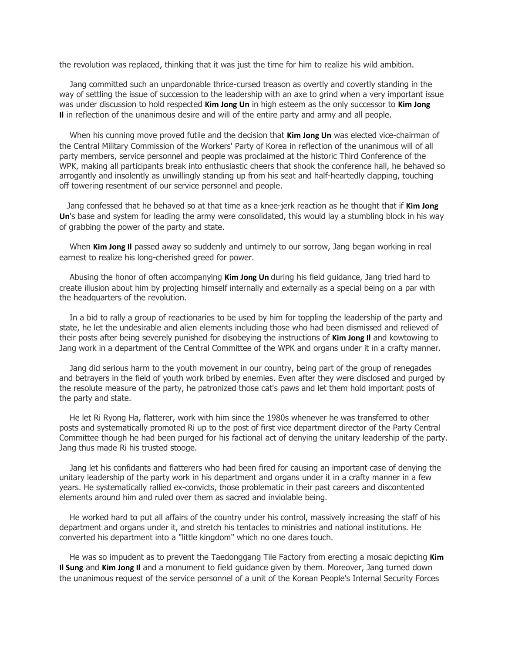the revolution was replaced, thinking that it was just the time for him to realize his wild ambition.

 Jang committed such an unpardonable thrice-cursed treason as overtly and covertly standing in the way of settling the issue of succession to the leadership with an axe to grind when a very important issue was under discussion to hold respected Kim Jong Un in high esteem as the only successor to Kim Jong Il in reflection of the unanimous desire and will of the entire party and army and all people.

When his cunning move proved futile and the decision that Kim Jong Un was elected vice-chairman of the Central Military Commission of the Workers' Party of Korea in reflection of the unanimous will of all party members, service personnel and people was proclaimed at the historic Third Conference of the WPK, making all participants break into enthusiastic cheers that shook the conference hall, he behaved so arrogantly and insolently as unwillingly standing up from his seat and half-heartedly clapping, touching off towering resentment of our service personnel and people.

Jang confessed that he behaved so at that time as a knee-jerk reaction as he thought that if Kim Jong Un's base and system for leading the army were consolidated, this would lay a stumbling block in his way of grabbing the power of the party and state.

When Kim Jong II passed away so suddenly and untimely to our sorrow, Jang began working in real earnest to realize his long-cherished greed for power.

Abusing the honor of often accompanying **Kim Jong Un** during his field guidance, Jang tried hard to create illusion about him by projecting himself internally and externally as a special being on a par with the headquarters of the revolution.

 In a bid to rally a group of reactionaries to be used by him for toppling the leadership of the party and state, he let the undesirable and alien elements including those who had been dismissed and relieved of their posts after being severely punished for disobeying the instructions of **Kim Jong II** and kowtowing to Jang work in a department of the Central Committee of the WPK and organs under it in a crafty manner.

 Jang did serious harm to the youth movement in our country, being part of the group of renegades and betrayers in the field of youth work bribed by enemies. Even after they were disclosed and purged by the resolute measure of the party, he patronized those cat's paws and let them hold important posts of the party and state.

 He let Ri Ryong Ha, flatterer, work with him since the 1980s whenever he was transferred to other posts and systematically promoted Ri up to the post of first vice department director of the Party Central Committee though he had been purged for his factional act of denying the unitary leadership of the party. Jang thus made Ri his trusted stooge.

 Jang let his confidants and flatterers who had been fired for causing an important case of denying the unitary leadership of the party work in his department and organs under it in a crafty manner in a few years. He systematically rallied ex-convicts, those problematic in their past careers and discontented elements around him and ruled over them as sacred and inviolable being.

 He worked hard to put all affairs of the country under his control, massively increasing the staff of his department and organs under it, and stretch his tentacles to ministries and national institutions. He converted his department into a "little kingdom" which no one dares touch.

He was so impudent as to prevent the Taedonggang Tile Factory from erecting a mosaic depicting **Kim** II Sung and Kim Jong II and a monument to field quidance given by them. Moreover, Jang turned down the unanimous request of the service personnel of a unit of the Korean People's Internal Security Forces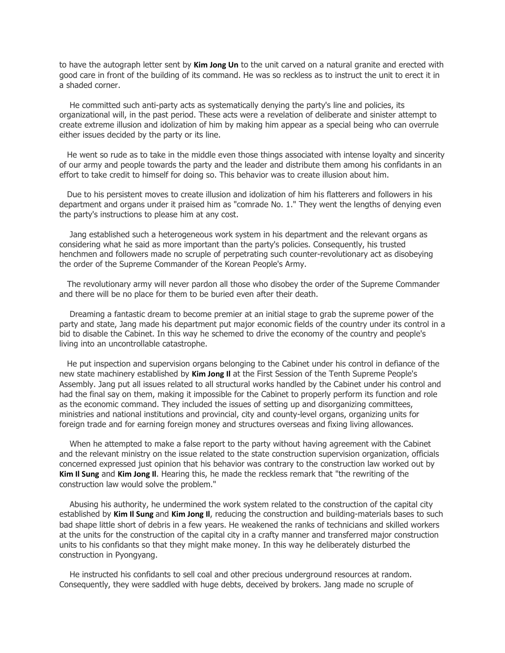to have the autograph letter sent by **Kim Jong Un** to the unit carved on a natural granite and erected with good care in front of the building of its command. He was so reckless as to instruct the unit to erect it in a shaded corner.

 He committed such anti-party acts as systematically denying the party's line and policies, its organizational will, in the past period. These acts were a revelation of deliberate and sinister attempt to create extreme illusion and idolization of him by making him appear as a special being who can overrule either issues decided by the party or its line.

 He went so rude as to take in the middle even those things associated with intense loyalty and sincerity of our army and people towards the party and the leader and distribute them among his confidants in an effort to take credit to himself for doing so. This behavior was to create illusion about him.

 Due to his persistent moves to create illusion and idolization of him his flatterers and followers in his department and organs under it praised him as "comrade No. 1." They went the lengths of denying even the party's instructions to please him at any cost.

 Jang established such a heterogeneous work system in his department and the relevant organs as considering what he said as more important than the party's policies. Consequently, his trusted henchmen and followers made no scruple of perpetrating such counter-revolutionary act as disobeying the order of the Supreme Commander of the Korean People's Army.

 The revolutionary army will never pardon all those who disobey the order of the Supreme Commander and there will be no place for them to be buried even after their death.

 Dreaming a fantastic dream to become premier at an initial stage to grab the supreme power of the party and state, Jang made his department put major economic fields of the country under its control in a bid to disable the Cabinet. In this way he schemed to drive the economy of the country and people's living into an uncontrollable catastrophe.

 He put inspection and supervision organs belonging to the Cabinet under his control in defiance of the new state machinery established by Kim Jong II at the First Session of the Tenth Supreme People's Assembly. Jang put all issues related to all structural works handled by the Cabinet under his control and had the final say on them, making it impossible for the Cabinet to properly perform its function and role as the economic command. They included the issues of setting up and disorganizing committees, ministries and national institutions and provincial, city and county-level organs, organizing units for foreign trade and for earning foreign money and structures overseas and fixing living allowances.

 When he attempted to make a false report to the party without having agreement with the Cabinet and the relevant ministry on the issue related to the state construction supervision organization, officials concerned expressed just opinion that his behavior was contrary to the construction law worked out by Kim Il Sung and Kim Jong II. Hearing this, he made the reckless remark that "the rewriting of the construction law would solve the problem."

 Abusing his authority, he undermined the work system related to the construction of the capital city established by Kim Il Sung and Kim Jong II, reducing the construction and building-materials bases to such bad shape little short of debris in a few years. He weakened the ranks of technicians and skilled workers at the units for the construction of the capital city in a crafty manner and transferred major construction units to his confidants so that they might make money. In this way he deliberately disturbed the construction in Pyongyang.

 He instructed his confidants to sell coal and other precious underground resources at random. Consequently, they were saddled with huge debts, deceived by brokers. Jang made no scruple of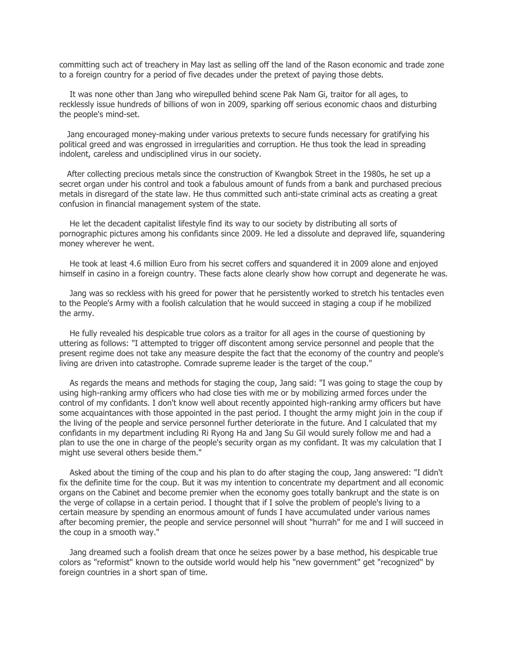committing such act of treachery in May last as selling off the land of the Rason economic and trade zone to a foreign country for a period of five decades under the pretext of paying those debts.

 It was none other than Jang who wirepulled behind scene Pak Nam Gi, traitor for all ages, to recklessly issue hundreds of billions of won in 2009, sparking off serious economic chaos and disturbing the people's mind-set.

 Jang encouraged money-making under various pretexts to secure funds necessary for gratifying his political greed and was engrossed in irregularities and corruption. He thus took the lead in spreading indolent, careless and undisciplined virus in our society.

 After collecting precious metals since the construction of Kwangbok Street in the 1980s, he set up a secret organ under his control and took a fabulous amount of funds from a bank and purchased precious metals in disregard of the state law. He thus committed such anti-state criminal acts as creating a great confusion in financial management system of the state.

 He let the decadent capitalist lifestyle find its way to our society by distributing all sorts of pornographic pictures among his confidants since 2009. He led a dissolute and depraved life, squandering money wherever he went.

 He took at least 4.6 million Euro from his secret coffers and squandered it in 2009 alone and enjoyed himself in casino in a foreign country. These facts alone clearly show how corrupt and degenerate he was.

 Jang was so reckless with his greed for power that he persistently worked to stretch his tentacles even to the People's Army with a foolish calculation that he would succeed in staging a coup if he mobilized the army.

 He fully revealed his despicable true colors as a traitor for all ages in the course of questioning by uttering as follows: "I attempted to trigger off discontent among service personnel and people that the present regime does not take any measure despite the fact that the economy of the country and people's living are driven into catastrophe. Comrade supreme leader is the target of the coup."

 As regards the means and methods for staging the coup, Jang said: "I was going to stage the coup by using high-ranking army officers who had close ties with me or by mobilizing armed forces under the control of my confidants. I don't know well about recently appointed high-ranking army officers but have some acquaintances with those appointed in the past period. I thought the army might join in the coup if the living of the people and service personnel further deteriorate in the future. And I calculated that my confidants in my department including Ri Ryong Ha and Jang Su Gil would surely follow me and had a plan to use the one in charge of the people's security organ as my confidant. It was my calculation that I might use several others beside them."

 Asked about the timing of the coup and his plan to do after staging the coup, Jang answered: "I didn't fix the definite time for the coup. But it was my intention to concentrate my department and all economic organs on the Cabinet and become premier when the economy goes totally bankrupt and the state is on the verge of collapse in a certain period. I thought that if I solve the problem of people's living to a certain measure by spending an enormous amount of funds I have accumulated under various names after becoming premier, the people and service personnel will shout "hurrah" for me and I will succeed in the coup in a smooth way."

 Jang dreamed such a foolish dream that once he seizes power by a base method, his despicable true colors as "reformist" known to the outside world would help his "new government" get "recognized" by foreign countries in a short span of time.